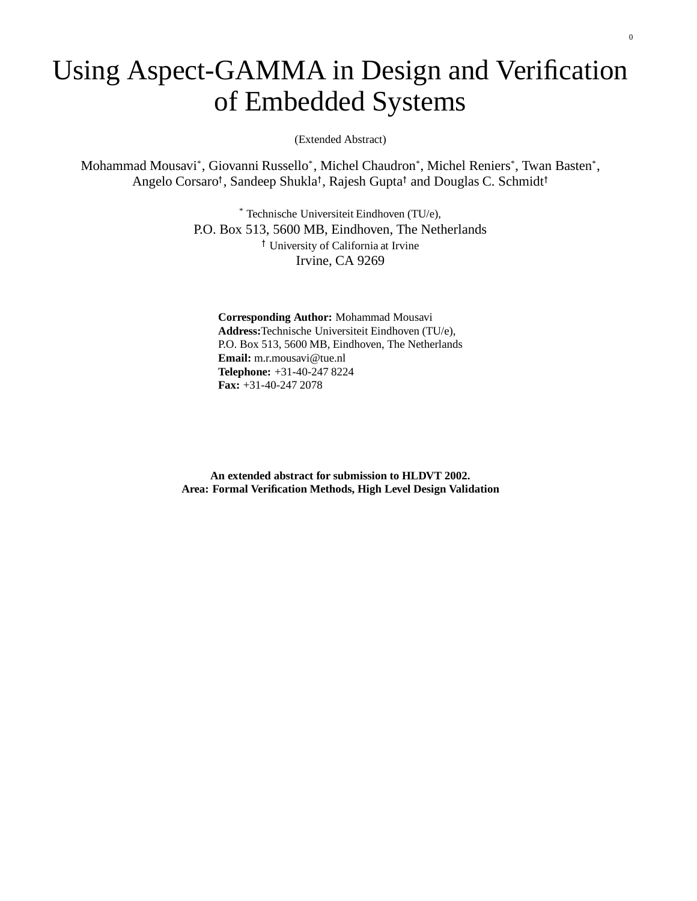# Using Aspect-GAMMA in Design and Verification of Embedded Systems

(Extended Abstract)

Mohammad Mousavi\* , Giovanni Russello\* , Michel Chaudron\* , Michel Reniers\* , Twan Basten\* , Angelo Corsaro<sup>†</sup>, Sandeep Shukla<sup>†</sup>, Rajesh Gupta<sup>†</sup> and Douglas C. Schmidt<sup>†</sup>

> \* Technische Universiteit Eindhoven (TU/e), P.O. Box 513, 5600 MB, Eindhoven, The Netherlands University of California at Irvine Irvine, CA 9269

**Corresponding Author:** Mohammad Mousavi **Address:**Technische Universiteit Eindhoven (TU/e), P.O. Box 513, 5600 MB, Eindhoven, The Netherlands **Email:** m.r.mousavi@tue.nl **Telephone:** +31-40-247 8224 **Fax:** +31-40-247 2078

**An extended abstract for submission to HLDVT 2002. Area: Formal Verification Methods, High Level Design Validation**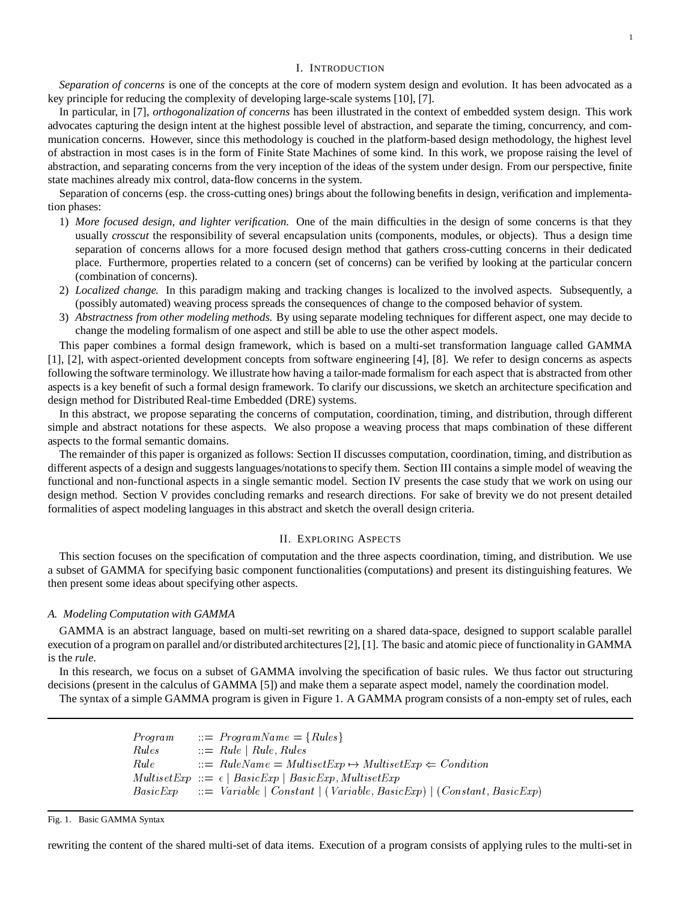### I. INTRODUCTION

*Separation of concerns* is one of the concepts at the core of modern system design and evolution. It has been advocated as a key principle for reducing the complexity of developing large-scale systems [10], [7].

In particular, in [7], *orthogonalization of concerns* has been illustrated in the context of embedded system design. This work advocates capturing the design intent at the highest possible level of abstraction, and separate the timing, concurrency, and communication concerns. However, since this methodology is couched in the platform-based design methodology, the highest level of abstraction in most cases is in the form of Finite State Machines of some kind. In this work, we propose raising the level of abstraction, and separating concerns from the very inception of the ideas of the system under design. From our perspective, finite state machines already mix control, data-flow concerns in the system.

Separation of concerns (esp. the cross-cutting ones) brings about the following benefits in design, verification and implementation phases:

- 1) *More focused design, and lighter verification.* One of the main difficulties in the design of some concerns is that they usually *crosscut* the responsibility of several encapsulation units (components, modules, or objects). Thus a design time separation of concerns allows for a more focused design method that gathers cross-cutting concerns in their dedicated place. Furthermore, properties related to a concern (set of concerns) can be verified by looking at the particular concern (combination of concerns).
- 2) *Localized change.* In this paradigm making and tracking changes is localized to the involved aspects. Subsequently, a (possibly automated) weaving process spreads the consequences of change to the composed behavior of system.
- 3) *Abstractness from other modeling methods.* By using separate modeling techniques for different aspect, one may decide to change the modeling formalism of one aspect and still be able to use the other aspect models.

This paper combines a formal design framework, which is based on a multi-set transformation language called GAMMA [1], [2], with aspect-oriented development concepts from software engineering [4], [8]. We refer to design concerns as aspects following the software terminology. We illustrate how having a tailor-made formalism for each aspect that is abstracted from other aspects is a key benefit of such a formal design framework. To clarify our discussions, we sketch an architecture specification and design method for Distributed Real-time Embedded (DRE) systems.

In this abstract, we propose separating the concerns of computation, coordination, timing, and distribution, through different simple and abstract notations for these aspects. We also propose a weaving process that maps combination of these different aspects to the formal semantic domains.

The remainder of this paper is organized as follows: Section II discusses computation, coordination, timing, and distribution as different aspects of a design and suggests languages/notationsto specify them. Section III contains a simple model of weaving the functional and non-functional aspects in a single semantic model. Section IV presents the case study that we work on using our design method. Section V provides concluding remarks and research directions. For sake of brevity we do not present detailed formalities of aspect modeling languages in this abstract and sketch the overall design criteria.

### II. EXPLORING ASPECTS

This section focuses on the specification of computation and the three aspects coordination, timing, and distribution. We use a subset of GAMMA for specifying basic component functionalities (computations) and present its distinguishing features. We then present some ideas about specifying other aspects.

#### *A. Modeling Computation with GAMMA*

GAMMA is an abstract language, based on multi-set rewriting on a shared data-space, designed to support scalable parallel execution of a program on parallel and/or distributed architectures [2], [1]. The basic and atomic piece of functionalityin GAMMA is the *rule*.

In this research, we focus on a subset of GAMMA involving the specification of basic rules. We thus factor out structuring decisions (present in the calculus of GAMMA [5]) and make them a separate aspect model, namely the coordination model.

The syntax of a simple GAMMA program is given in Figure 1. A GAMMA program consists of a non-empty set of rules, each

| <i>Program</i> | $\therefore$ ProgramName = {Rules}                                               |
|----------------|----------------------------------------------------------------------------------|
| Rules          | $\therefore$ Rule   Rule, Rules                                                  |
| Rule           | $\therefore$ RuleName = MultisetExp $\mapsto$ MultisetExp $\Leftarrow$ Condition |
|                | $MultisetExp ::= \epsilon   BasicExp   BasicExp, MultisetExp$                    |
|                | $BasicExp$ ::= Variable   Constant   (Variable, BasicExp)   (Constant, BasicExp) |

Fig. 1. Basic GAMMA Syntax

rewriting the content of the shared multi-set of data items. Execution of a program consists of applying rules to the multi-set in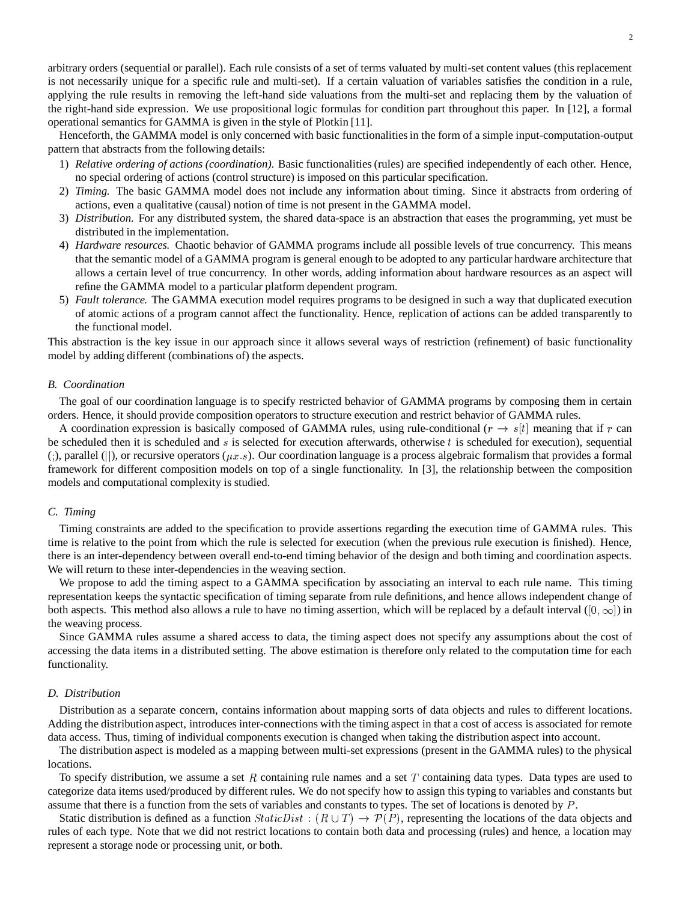Henceforth, the GAMMA model is only concerned with basic functionalitiesin the form of a simple input-computation-output pattern that abstracts from the following details:

- 1) *Relative ordering of actions (coordination).* Basic functionalities (rules) are specified independently of each other. Hence, no special ordering of actions (control structure) is imposed on this particular specification.
- 2) *Timing.* The basic GAMMA model does not include any information about timing. Since it abstracts from ordering of actions, even a qualitative (causal) notion of time is not present in the GAMMA model.
- 3) *Distribution.* For any distributed system, the shared data-space is an abstraction that eases the programming, yet must be distributed in the implementation.
- 4) *Hardware resources.* Chaotic behavior of GAMMA programs include all possible levels of true concurrency. This means that the semantic model of a GAMMA program is general enough to be adopted to any particular hardware architecture that allows a certain level of true concurrency. In other words, adding information about hardware resources as an aspect will refine the GAMMA model to a particular platform dependent program.
- 5) *Fault tolerance.* The GAMMA execution model requires programs to be designed in such a way that duplicated execution of atomic actions of a program cannot affect the functionality. Hence, replication of actions can be added transparently to the functional model.

This abstraction is the key issue in our approach since it allows several ways of restriction (refinement) of basic functionality model by adding different (combinations of) the aspects.

#### *B. Coordination*

The goal of our coordination language is to specify restricted behavior of GAMMA programs by composing them in certain orders. Hence, it should provide composition operators to structure execution and restrict behavior of GAMMA rules.

A coordination expression is basically composed of GAMMA rules, using rule-conditional ( $r \to s[t]$  meaning that if r can be scheduled then it is scheduled and  $s$  is selected for execution afterwards, otherwise  $t$  is scheduled for execution), sequential (;), parallel (||), or recursive operators ( $\mu x.s$ ). Our coordination language is a process algebraic formalism that provides a formal framework for different composition models on top of a single functionality. In [3], the relationship between the composition models and computational complexity is studied.

## *C. Timing*

Timing constraints are added to the specification to provide assertions regarding the execution time of GAMMA rules. This time is relative to the point from which the rule is selected for execution (when the previous rule execution is finished). Hence, there is an inter-dependency between overall end-to-end timing behavior of the design and both timing and coordination aspects. We will return to these inter-dependencies in the weaving section.

We propose to add the timing aspect to a GAMMA specification by associating an interval to each rule name. This timing representation keeps the syntactic specification of timing separate from rule definitions, and hence allows independent change of both aspects. This method also allows a rule to have no timing assertion, which will be replaced by a default interval  $(0, \infty)$  in the weaving process.

Since GAMMA rules assume a shared access to data, the timing aspect does not specify any assumptions about the cost of accessing the data items in a distributed setting. The above estimation is therefore only related to the computation time for each functionality.

### *D. Distribution*

Distribution as a separate concern, contains information about mapping sorts of data objects and rules to different locations. Adding the distribution aspect, introduces inter-connections with the timing aspect in that a cost of access is associated for remote data access. Thus, timing of individual components execution is changed when taking the distribution aspect into account.

The distribution aspect is modeled as a mapping between multi-set expressions (present in the GAMMA rules) to the physical locations.

To specify distribution, we assume a set R containing rule names and a set T containing data types. Data types are used to categorize data items used/produced by different rules. We do not specify how to assign this typing to variables and constants but assume that there is a function from the sets of variables and constants to types. The set of locations is denoted by  $P$ .

Static distribution is defined as a function  $StaticDist : (R \cup T) \rightarrow \mathcal{P}(P)$ , representing the locations of the data objects and rules of each type. Note that we did not restrict locations to contain both data and processing (rules) and hence, a location may represent a storage node or processing unit, or both.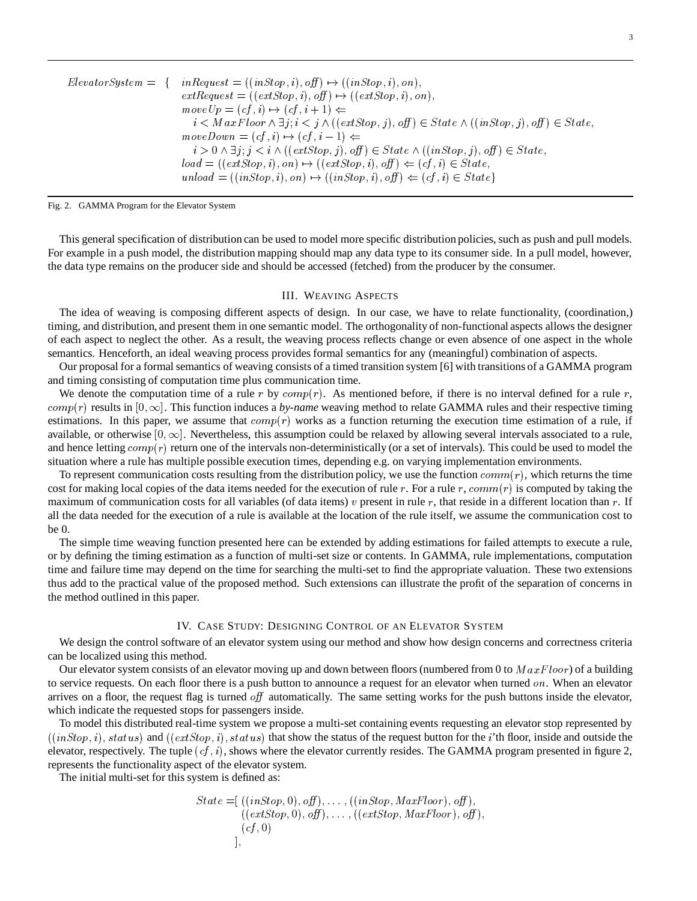| $ElevatorSystem = \{$ | $inRequest = ((inStop, i), off) \mapsto ((inStop, i), on),$                                                    |
|-----------------------|----------------------------------------------------------------------------------------------------------------|
|                       | $extRequest = ((extStop, i), off) \mapsto ((extStop, i), on),$                                                 |
|                       | $move Up = (cf, i) \mapsto (cf, i + 1) \Leftarrow$                                                             |
|                       | $i < Max Floor \land \exists j; i < j \land ((extStop, j), off) \in State \land ((inStop, j), off) \in State,$ |
|                       | $moveDown = (cf, i) \mapsto (cf, i - 1) \Leftarrow$                                                            |
|                       | $i > 0 \land \exists j; j < i \land ((extStop, j), off) \in State \land ((inStop, j), off) \in State,$         |
|                       | $load = ((extStop, i), on) \rightarrow ((extStop, i), off) \Leftarrow (cf, i) \in State,$                      |
|                       | $unload = ((inStop, i), on) \rightarrow ((inStop, i), off) \Leftarrow (cf, i) \in State\}$                     |

Fig. 2. GAMMA Program for the Elevator System

This general specification of distribution can be used to model more specific distribution policies, such as push and pull models. For example in a push model, the distribution mapping should map any data type to its consumer side. In a pull model, however, the data type remains on the producer side and should be accessed (fetched) from the producer by the consumer.

### III. WEAVING ASPECTS

The idea of weaving is composing different aspects of design. In our case, we have to relate functionality, (coordination,) timing, and distribution, and present them in one semantic model. The orthogonality of non-functional aspects allows the designer of each aspect to neglect the other. As a result, the weaving process reflects change or even absence of one aspect in the whole semantics. Henceforth, an ideal weaving process provides formal semantics for any (meaningful) combination of aspects.

Our proposal for a formal semantics of weaving consists of a timed transition system [6] with transitions of a GAMMA program and timing consisting of computation time plus communication time.

We denote the computation time of a rule r by  $comp(r)$ . As mentioned before, if there is no interval defined for a rule r,  $comp(r)$  results in  $[0, \infty]$ . This function induces a *by-name* weaving method to relate GAMMA rules and their respective timing estimations. In this paper, we assume that  $comp(r)$  works as a function returning the execution time estimation of a rule, if available, or otherwise  $[0, \infty]$ . Nevertheless, this assumption could be relaxed by allowing several intervals associated to a rule, and hence letting  $comp(r)$  return one of the intervals non-deterministically (or a set of intervals). This could be used to model the situation where a rule has multiple possible execution times, depending e.g. on varying implementation environments.

To represent communication costs resulting from the distribution policy, we use the function  $comm(r)$ , which returns the time cost for making local copies of the data items needed for the execution of rule r. For a rule r,  $comm(r)$  is computed by taking the maximum of communication costs for all variables (of data items) v present in rule r, that reside in a different location than r. If all the data needed for the execution of a rule is available at the location of the rule itself, we assume the communication cost to be 0.

The simple time weaving function presented here can be extended by adding estimations for failed attempts to execute a rule, or by defining the timing estimation as a function of multi-set size or contents. In GAMMA, rule implementations, computation time and failure time may depend on the time for searching the multi-set to find the appropriate valuation. These two extensions thus add to the practical value of the proposed method. Such extensions can illustrate the profit of the separation of concerns in the method outlined in this paper.

### IV. CASE STUDY: DESIGNING CONTROL OF AN ELEVATOR SYSTEM

We design the control software of an elevator system using our method and show how design concerns and correctness criteria can be localized using this method.

Our elevator system consists of an elevator moving up and down between floors (numbered from 0 to  $MaxFloor$ ) of a building to service requests. On each floor there is a push button to announce a request for an elevator when turned  $\omega n$ . When an elevator arrives on a floor, the request flag is turned off automatically. The same setting works for the push buttons inside the elevator, which indicate the requested stops for passengers inside.

To model this distributed real-time system we propose a multi-set containing events requesting an elevator stop represented by  $((in Stop, i), status)$  and  $((extStop, i), status)$  that show the status of the request button for the *i*'th floor, inside and outside the elevator, respectively. The tuple  $(cf, i)$ , shows where the elevator currently resides. The GAMMA program presented in figure 2, represents the functionality aspect of the elevator system.

The initial multi-set for this system is defined as:

$$
State = [ ((inStop, 0), off), ..., ((inStop, Max Floor), off), \\ ((extStop, 0), off), ..., ((extStop, Max Floor), off), \\ (cf, 0)
$$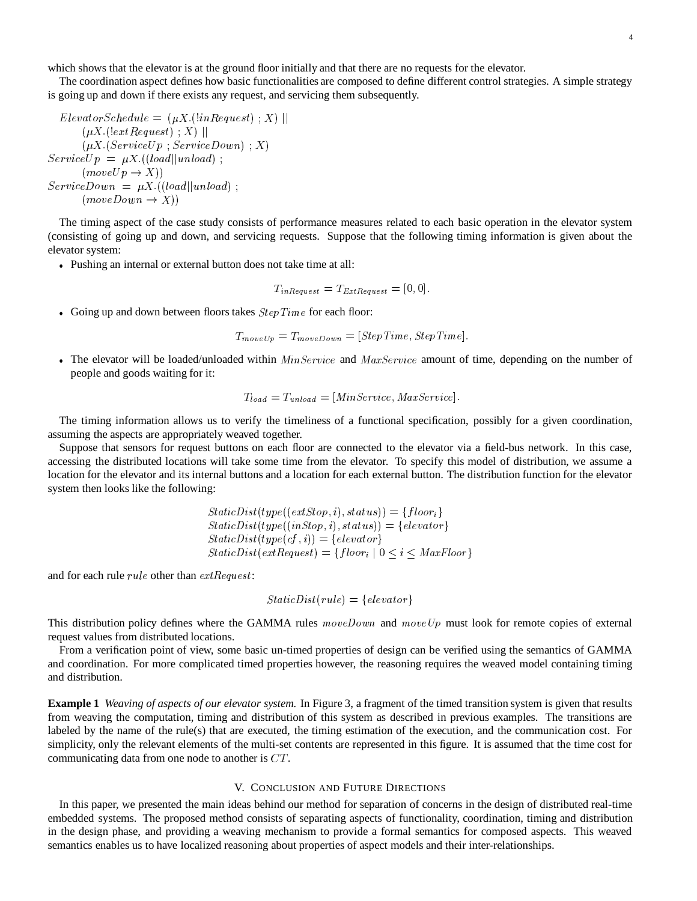which shows that the elevator is at the ground floor initially and that there are no requests for the elevator.

The coordination aspect defines how basic functionalities are composed to define different control strategies. A simple strategy is going up and down if there exists any request, and servicing them subsequently.

$$
ElevatorSchedule = (\mu X.(!inRequest) ; X) ||
$$
  
\n
$$
(\mu X.(!extRequest) ; X) ||
$$
  
\n
$$
(\mu X. (ServiceUp ; ServiceDown) ; X)
$$
  
\n
$$
ServiceUp = \mu X.((load||unload) ;
$$
  
\n
$$
(moveUp \rightarrow X))
$$
  
\n
$$
ServiceDown = \mu X.((load||unload) ;
$$
  
\n
$$
(moveDown \rightarrow X))
$$

The timing aspect of the case study consists of performance measures related to each basic operation in the elevator system (consisting of going up and down, and servicing requests. Suppose that the following timing information is given about the elevator system:

Pushing an internal or external button does not take time at all:

$$
T_{inRequest} = T_{ExtRequest} = [0, 0].
$$

• Going up and down between floors takes  $StepTime$  for each floor:

$$
T_{moveUp} = T_{moveDown} = [StepTime, StepTime].
$$

The elevator will be loaded/unloaded within  $MinService$  and  $MaxService$  amount of time, depending on the number of people and goods waiting for it:

$$
T_{load} = T_{unload} = [MinService, MaxService].
$$

The timing information allows us to verify the timeliness of a functional specification, possibly for a given coordination, assuming the aspects are appropriately weaved together.

Suppose that sensors for request buttons on each floor are connected to the elevator via a field-bus network. In this case, accessing the distributed locations will take some time from the elevator. To specify this model of distribution, we assume a location for the elevator and its internal buttons and a location for each external button. The distribution function for the elevator system then looks like the following:

$$
StaticDist(type((extStop, i), status)) = \{floor_i\}
$$
  
\n
$$
StaticDist(type((inStop, i), status)) = \{elevator\}
$$
  
\n
$$
StaticDist(type(cf, i)) = \{elevator\}
$$
  
\n
$$
StaticDist(extRequest) = \{floor_i \mid 0 \le i \le MaxFloor\}
$$

and for each rule  $rule$  other than  $extRequest$ :

$$
StaticDist(rule) = \{elevator\}
$$

This distribution policy defines where the GAMMA rules  $moveDown$  and  $moveUp$  must look for remote copies of external request values from distributed locations.

From a verification point of view, some basic un-timed properties of design can be verified using the semantics of GAMMA and coordination. For more complicated timed properties however, the reasoning requires the weaved model containing timing and distribution.

**Example 1** *Weaving of aspects of our elevator system.* In Figure 3, a fragment of the timed transition system is given that results from weaving the computation, timing and distribution of this system as described in previous examples. The transitions are labeled by the name of the rule(s) that are executed, the timing estimation of the execution, and the communication cost. For simplicity, only the relevant elements of the multi-set contents are represented in this figure. It is assumed that the time cost for communicating data from one node to another is  $CT$ .

## V. CONCLUSION AND FUTURE DIRECTIONS

In this paper, we presented the main ideas behind our method for separation of concerns in the design of distributed real-time embedded systems. The proposed method consists of separating aspects of functionality, coordination, timing and distribution in the design phase, and providing a weaving mechanism to provide a formal semantics for composed aspects. This weaved semantics enables us to have localized reasoning about properties of aspect models and their inter-relationships.